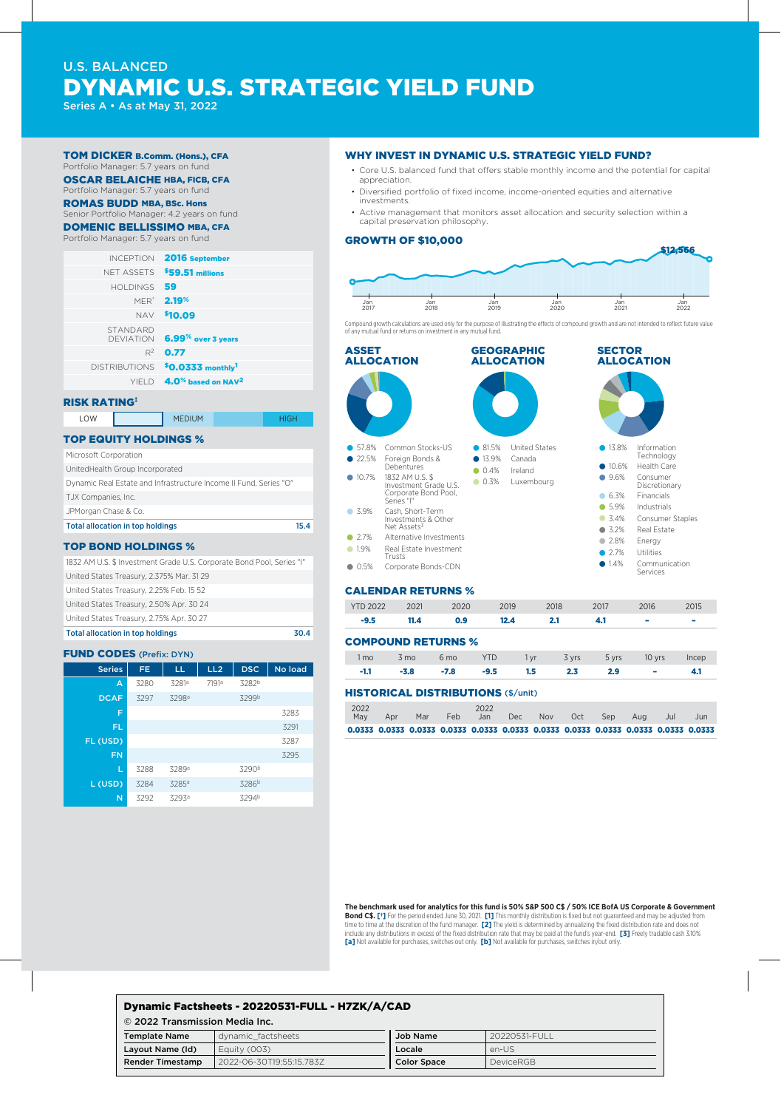# U.S. BALANCED DYNAMIC U.S. STRATEGIC YIELD FUND

Series A • As at May 31, 2022

#### TOM DICKER B.Comm. (Hons.), CFA Portfolio Manager: 5.7 years on fund

OSCAR BELAICHE HBA, FICB, CFA Portfolio Manager: 5.7 years on fund

#### ROMAS BUDD MBA, BSc. Hons

Senior Portfolio Manager: 4.2 years on fund DOMENIC BELLISSIMO MBA, CFA

## Portfolio Manager: 5.7 years on fund

| 2016 September                                     | <b>INCEPTION</b>      |
|----------------------------------------------------|-----------------------|
| \$59.51 millions                                   | NFT ASSETS            |
| 59                                                 | HOI DINGS             |
| <b>MER<sup>*</sup> 2.19<sup>%</sup></b>            |                       |
| NAV \$10.09                                        |                       |
| 6.99 <sup>%</sup> over 3 years                     | STANDARD<br>DEVIATION |
| 0.77                                               | $R^2$                 |
| $$0.0333$ monthly <sup>1</sup>                     | <b>DISTRIBUTIONS</b>  |
| $YIFLD$ 4.0 <sup>%</sup> based on NAV <sup>2</sup> |                       |
|                                                    |                       |

#### RISK RATING‡

LOW MEDIUM HIGH

## TOP EQUITY HOLDINGS %

| <b>Total allocation in top holdings</b>                           | 15 A |
|-------------------------------------------------------------------|------|
| JPMorgan Chase & Co.                                              |      |
| TJX Companies, Inc.                                               |      |
| Dynamic Real Estate and Infrastructure Income II Fund, Series "O" |      |
| UnitedHealth Group Incorporated                                   |      |
| Microsoft Corporation                                             |      |

#### TOP BOND HOLDINGS %

| <b>Total allocation in top holdings</b>                               |  |
|-----------------------------------------------------------------------|--|
| United States Treasury, 2.75% Apr. 30 27                              |  |
| United States Treasury, 2.50% Apr. 30 24                              |  |
| United States Treasury, 2.25% Feb. 15 52                              |  |
| United States Treasury, 2.375% Mar. 3129                              |  |
| 1832 AM U.S. \$ Investment Grade U.S. Corporate Bond Pool, Series "I" |  |

### FUND CODES (Prefix: DYN)

| <b>Series</b> | FE.  | LL    | LL2               | <b>DSC</b> | No load |
|---------------|------|-------|-------------------|------------|---------|
| A             | 3280 | 3281ª | 7191 <sup>a</sup> | 3282b      |         |
| <b>DCAF</b>   | 3297 | 3298ª |                   | 3299b      |         |
| F             |      |       |                   |            | 3283    |
| FL.           |      |       |                   |            | 3291    |
| FL (USD)      |      |       |                   |            | 3287    |
| <b>FN</b>     |      |       |                   |            | 3295    |
| L             | 3288 | 3289a |                   | 3290b      |         |
| L (USD)       | 3284 | 3285ª |                   | 3286b      |         |
| N             | 3292 | 3293ª |                   | 3294b      |         |

### WHY INVEST IN DYNAMIC U.S. STRATEGIC YIELD FUND?

- Core U.S. balanced fund that offers stable monthly income and the potential for capital appreciation.
- Diversified portfolio of fixed income, income-oriented equities and alternative investments.
- Active management that monitors asset allocation and security selection within a capital preservation philosophy.

#### GROWTH OF \$10,000



Compound growth calculations are used only for the purpose of illustrating the effects of compound growth and are not intended to reflect future value of any mutual fund or returns on investment in any mutual fund.



## COMPOUND RETURNS %

|                | _______________________ |      |        |     |                                       |     |                                   |       |  |
|----------------|-------------------------|------|--------|-----|---------------------------------------|-----|-----------------------------------|-------|--|
| $1 \text{ mO}$ |                         |      |        |     | 3 mo 6 mo YTD 1 vr 3 vrs 5 vrs 10 vrs |     |                                   | Incep |  |
|                | $-3.8$                  | -7.8 | $-9.5$ | 1.5 | 2.3                                   | 2.9 | <b>Contract Contract Contract</b> |       |  |

#### HISTORICAL DISTRIBUTIONS (\$/unit)

|             | 0.0333 0.0333 0.0333 0.0333 0.0333 0.0333 0.0333 0.0333 0.0333 0.0333 0.0333 0.0333 |     |     |             |      |            |      |      |     |     |     |
|-------------|-------------------------------------------------------------------------------------|-----|-----|-------------|------|------------|------|------|-----|-----|-----|
| 2022<br>Mav | Apr                                                                                 | Mar | Feb | 2022<br>Jan | Dec. | <b>Nov</b> | Oct. | Sep. | Aug | Jul | Jun |

**The benchmark used for analytics for this fund is 50% S&P 500 C\$ / 50% ICE BofA US Corporate & Government Bond C\$. [†]** For the period ended June 30, 2021. **[1]** This monthly distribution is fixed but not guaranteed and may be adjusted from time to time at the discretion of the fund manager. **[2]** The yield is determined by annualizing the fixed distribution rate and does not include any distributions in excess of the fixed distribution rate that may be paid at the fund's year-end. **[3]** Freely tradable cash 3.10% **[a]** Not available for purchases, switches out only. **[b]** Not available for purchases, switches in/out only.